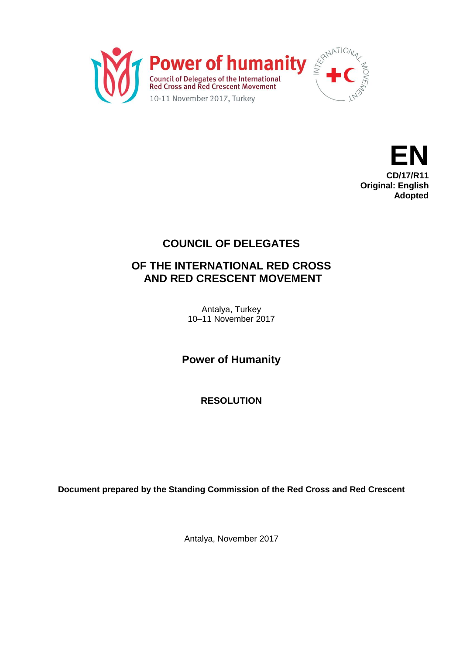



**Original: English Adopted**

## **COUNCIL OF DELEGATES**

## **OF THE INTERNATIONAL RED CROSS AND RED CRESCENT MOVEMENT**

Antalya, Turkey 10–11 November 2017

**Power of Humanity**

**RESOLUTION**

**Document prepared by the Standing Commission of the Red Cross and Red Crescent**

Antalya, November 2017